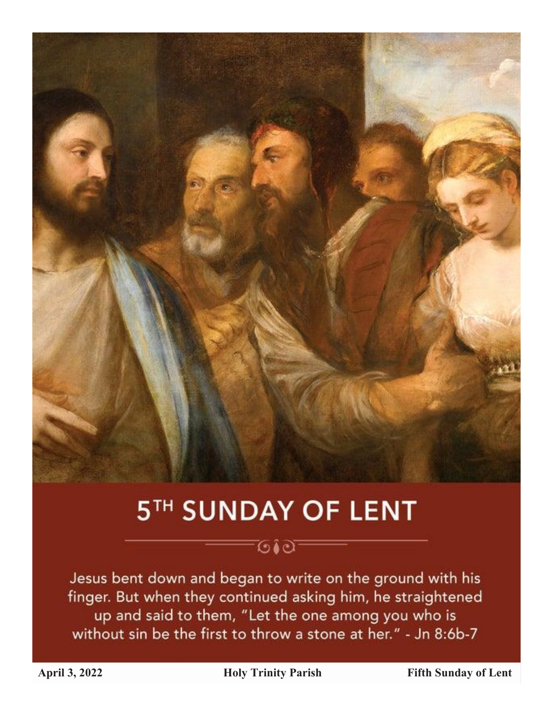

# 5TH SUNDAY OF LENT

-⊙≀⊙–

# Jesus bent down and began to write on the ground with his finger. But when they continued asking him, he straightened up and said to them, "Let the one among you who is without sin be the first to throw a stone at her." - Jn 8:6b-7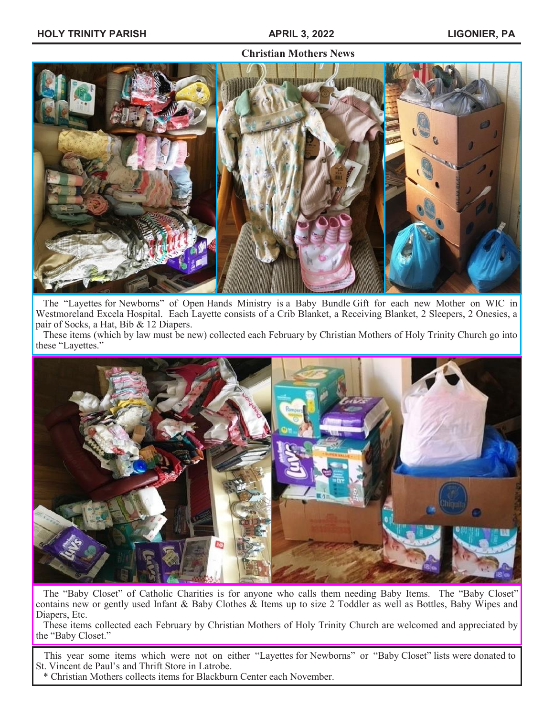### **Christian Mothers News**



 The "Layettes for Newborns" of Open Hands Ministry is a Baby Bundle Gift for each new Mother on WIC in Westmoreland Excela Hospital. Each Layette consists of a Crib Blanket, a Receiving Blanket, 2 Sleepers, 2 Onesies, a pair of Socks, a Hat, Bib & 12 Diapers.

 These items (which by law must be new) collected each February by Christian Mothers of Holy Trinity Church go into these "Layettes."



 The "Baby Closet" of Catholic Charities is for anyone who calls them needing Baby Items. The "Baby Closet" contains new or gently used Infant & Baby Clothes & Items up to size 2 Toddler as well as Bottles, Baby Wipes and Diapers, Etc.

 These items collected each February by Christian Mothers of Holy Trinity Church are welcomed and appreciated by the "Baby Closet."

 This year some items which were not on either "Layettes for Newborns" or "Baby Closet" lists were donated to St. Vincent de Paul's and Thrift Store in Latrobe.

\* Christian Mothers collects items for Blackburn Center each November.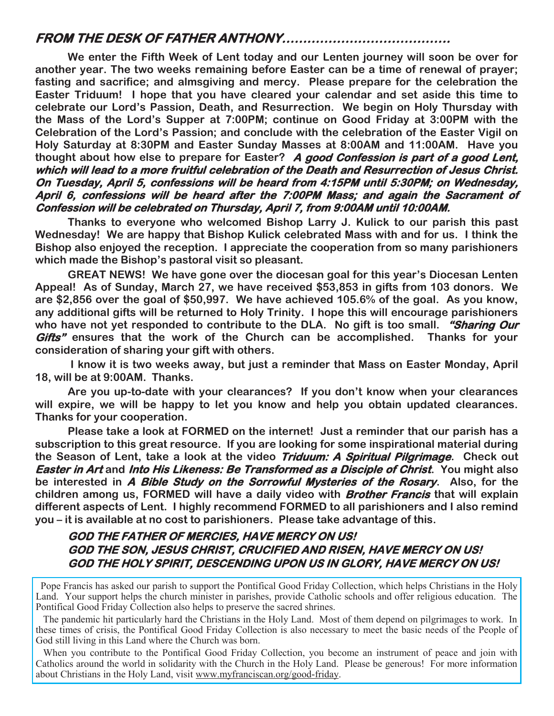## **FROM THE DESK OF FATHER ANTHONY………………………………….**

**We enter the Fifth Week of Lent today and our Lenten journey will soon be over for another year. The two weeks remaining before Easter can be a time of renewal of prayer; fasting and sacrifice; and almsgiving and mercy. Please prepare for the celebration the Easter Triduum! I hope that you have cleared your calendar and set aside this time to celebrate our Lord's Passion, Death, and Resurrection. We begin on Holy Thursday with the Mass of the Lord's Supper at 7:00PM; continue on Good Friday at 3:00PM with the Celebration of the Lord's Passion; and conclude with the celebration of the Easter Vigil on Holy Saturday at 8:30PM and Easter Sunday Masses at 8:00AM and 11:00AM. Have you thought about how else to prepare for Easter? A good Confession is part of a good Lent, which will lead to a more fruitful celebration of the Death and Resurrection of Jesus Christ. On Tuesday, April 5, confessions will be heard from 4:15PM until 5:30PM; on Wednesday, April 6, confessions will be heard after the 7:00PM Mass; and again the Sacrament of Confession will be celebrated on Thursday, April 7, from 9:00AM until 10:00AM.** 

**Thanks to everyone who welcomed Bishop Larry J. Kulick to our parish this past Wednesday! We are happy that Bishop Kulick celebrated Mass with and for us. I think the Bishop also enjoyed the reception. I appreciate the cooperation from so many parishioners which made the Bishop's pastoral visit so pleasant.**

**GREAT NEWS! We have gone over the diocesan goal for this year's Diocesan Lenten Appeal! As of Sunday, March 27, we have received \$53,853 in gifts from 103 donors. We are \$2,856 over the goal of \$50,997. We have achieved 105.6% of the goal. As you know, any additional gifts will be returned to Holy Trinity. I hope this will encourage parishioners who have not yet responded to contribute to the DLA. No gift is too small. "Sharing Our Gifts" ensures that the work of the Church can be accomplished. Thanks for your consideration of sharing your gift with others.**

**I know it is two weeks away, but just a reminder that Mass on Easter Monday, April 18, will be at 9:00AM. Thanks.**

**Are you up-to-date with your clearances? If you don't know when your clearances will expire, we will be happy to let you know and help you obtain updated clearances. Thanks for your cooperation.**

**Please take a look at FORMED on the internet! Just a reminder that our parish has a subscription to this great resource. If you are looking for some inspirational material during the Season of Lent, take a look at the video Triduum: A Spiritual Pilgrimage. Check out Easter in Art and Into His Likeness: Be Transformed as a Disciple of Christ. You might also be interested in A Bible Study on the Sorrowful Mysteries of the Rosary. Also, for the children among us, FORMED will have a daily video with Brother Francis that will explain different aspects of Lent. I highly recommend FORMED to all parishioners and I also remind you – it is available at no cost to parishioners. Please take advantage of this.**

## **GOD THE FATHER OF MERCIES, HAVE MERCY ON US! GOD THE SON, JESUS CHRIST, CRUCIFIED AND RISEN, HAVE MERCY ON US! GOD THE HOLY SPIRIT, DESCENDING UPON US IN GLORY, HAVE MERCY ON US!**

 Pope Francis has asked our parish to support the Pontifical Good Friday Collection, which helps Christians in the Holy Land. Your support helps the church minister in parishes, provide Catholic schools and offer religious education. The Pontifical Good Friday Collection also helps to preserve the sacred shrines.

 The pandemic hit particularly hard the Christians in the Holy Land. Most of them depend on pilgrimages to work. In these times of crisis, the Pontifical Good Friday Collection is also necessary to meet the basic needs of the People of God still living in this Land where the Church was born.

 When you contribute to the Pontifical Good Friday Collection, you become an instrument of peace and join with Catholics around the world in solidarity with the Church in the Holy Land. Please be generous! For more information about Christians in the Holy Land, visit www.myfranciscan.org/good-friday.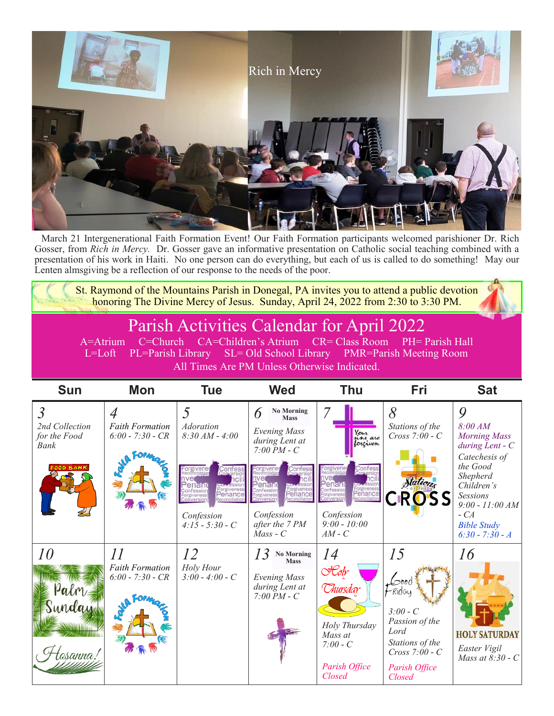

March 21 Intergenerational Faith Formation Event! Our Faith Formation participants welcomed parishioner Dr. Rich Gosser, from *Rich in Mercy.* Dr. Gosser gave an informative presentation on Catholic social teaching combined with a presentation of his work in Haiti. No one person can do everything, but each of us is called to do something! May our Lenten almsgiving be a reflection of our response to the needs of the poor.

St. Raymond of the Mountains Parish in Donegal, PA invites you to attend a public devotion honoring The Divine Mercy of Jesus. Sunday, April 24, 2022 from 2:30 to 3:30 PM.

# Parish Activities Calendar for April 2022

A=Atrium C=Church CA=Children's Atrium CR= Class Room PH= Parish Hall L=Loft PL=Parish Library SL= Old School Library PMR=Parish Meeting Room All Times Are PM Unless Otherwise Indicated.

| <b>Sun</b>                                                          | <b>Mon</b>                                                      | <b>Tue</b>                                                                                             | <b>Wed</b>                                                                                                                                                                                           | Thu                                                                                                                        | <b>Fri</b>                                                                                                                          | <b>Sat</b>                                                                                                                                                                                                    |
|---------------------------------------------------------------------|-----------------------------------------------------------------|--------------------------------------------------------------------------------------------------------|------------------------------------------------------------------------------------------------------------------------------------------------------------------------------------------------------|----------------------------------------------------------------------------------------------------------------------------|-------------------------------------------------------------------------------------------------------------------------------------|---------------------------------------------------------------------------------------------------------------------------------------------------------------------------------------------------------------|
| $\overline{3}$<br>2nd Collection<br>for the Food<br>Bank<br>00D BAN | $\overline{A}$<br><b>Faith Formation</b><br>$6:00 - 7:30 - CR$  | <i>Adoration</i><br>$8:30 AM - 4:00$<br>Forgiveness<br>econciliatio<br>Confession<br>$4:15 - 5:30 - C$ | <b>No Morning</b><br>6<br><b>Mass</b><br><b>Evening Mass</b><br>during Lent at<br>$7:00 PM - C$<br>enand<br>Forgiveness<br>Reconciliation<br>onversion<br>Confession<br>after the 7 PM<br>$Mass - C$ | Your<br>n'hi are<br>forgiven<br>Conte<br>enand<br>Forgiveness<br>Reconciliatio<br>Confession<br>$9:00 - 10:00$<br>$AM - C$ | 8<br>Stations of the<br>$Cross 7:00 - C$<br>Stations<br><b>CROSS</b>                                                                | 9<br>8:00 AM<br><b>Morning Mass</b><br>$during$ Lent - $C$<br>Catechesis of<br>the Good<br>Shepherd<br>Children's<br><b>Sessions</b><br>$9:00 - 11:00 AM$<br>$-CA$<br><b>Bible Study</b><br>$6:30 - 7:30 - A$ |
| 10<br>Palm<br>Sunday<br>'osanna'                                    | $\overline{11}$<br><b>Faith Formation</b><br>$6:00 - 7:30 - CR$ | 12<br>Holy Hour<br>$3:00 - 4:00 - C$                                                                   | No Morning<br><b>Mass</b><br><b>Evening Mass</b><br>during Lent at<br>$7:00 PM - C$                                                                                                                  | 14<br>$\mathcal{H}$ oly<br>Chursday<br>Holy Thursday<br>Mass at<br>$7:00 - C$<br>Parish Office<br>Closed                   | 15<br>$L$ $00C$<br>-Riday<br>$3:00 - C$<br>Passion of the<br>Lord<br>Stations of the<br>$Cross 7:00 - C$<br>Parish Office<br>Closed | 16<br><b>HOLY SATURDAY</b><br>Easter Vigil<br>Mass at $8:30 - C$                                                                                                                                              |